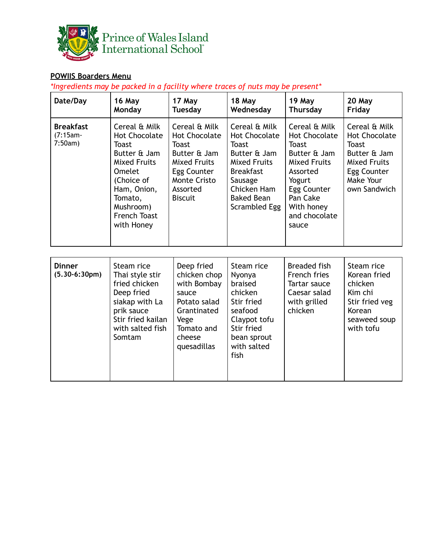

## **POWIIS Boarders Menu**

*\*Ingredients may be packed in a facility where traces of nuts may be present\**

| Date/Day                                   | 16 May<br>Monday                                                                                                                                                                                 | 17 May<br><b>Tuesday</b>                                                                                                                                         | 18 May<br>Wednesday                                                                                                                                                              | 19 May<br><b>Thursday</b>                                                                                                                                                             | 20 May<br>Friday                                                                                                                         |
|--------------------------------------------|--------------------------------------------------------------------------------------------------------------------------------------------------------------------------------------------------|------------------------------------------------------------------------------------------------------------------------------------------------------------------|----------------------------------------------------------------------------------------------------------------------------------------------------------------------------------|---------------------------------------------------------------------------------------------------------------------------------------------------------------------------------------|------------------------------------------------------------------------------------------------------------------------------------------|
| <b>Breakfast</b><br>$(7:15am -$<br>7:50am) | Cereal & Milk<br><b>Hot Chocolate</b><br><b>Toast</b><br>Butter & Jam<br><b>Mixed Fruits</b><br><b>Omelet</b><br>(Choice of<br>Ham, Onion,<br>Tomato,<br>Mushroom)<br>French Toast<br>with Honey | Cereal & Milk<br><b>Hot Chocolate</b><br><b>Toast</b><br>Butter & Jam<br><b>Mixed Fruits</b><br>Egg Counter<br><b>Monte Cristo</b><br>Assorted<br><b>Biscuit</b> | Cereal & Milk<br><b>Hot Chocolate</b><br><b>Toast</b><br>Butter & Jam<br><b>Mixed Fruits</b><br><b>Breakfast</b><br>Sausage<br>Chicken Ham<br><b>Baked Bean</b><br>Scrambled Egg | Cereal & Milk<br><b>Hot Chocolate</b><br><b>Toast</b><br>Butter & Jam<br><b>Mixed Fruits</b><br>Assorted<br>Yogurt<br>Egg Counter<br>Pan Cake<br>With honey<br>and chocolate<br>sauce | Cereal & Milk<br><b>Hot Chocolate</b><br><b>Toast</b><br>Butter & Jam<br><b>Mixed Fruits</b><br>Egg Counter<br>Make Your<br>own Sandwich |
| <b>Dinner</b><br>$(5.30-6:30pm)$           | Steam rice<br>Thai style stir<br>fried chicken<br>Deep fried<br>siakap with La<br>prik sauce<br>Stir fried kailan<br>with salted fish<br>Somtam                                                  | Deep fried<br>chicken chop<br>with Bombay<br>sauce<br>Potato salad<br>Grantinated<br>Vege<br>Tomato and<br>cheese<br>quesadillas                                 | Steam rice<br>Nyonya<br>braised<br>chicken<br>Stir fried<br>seafood<br>Claypot tofu<br>Stir fried<br>bean sprout<br>with salted<br>fish                                          | <b>Breaded fish</b><br><b>French fries</b><br>Tartar sauce<br>Caesar salad<br>with grilled<br>chicken                                                                                 | Steam rice<br>Korean fried<br>chicken<br>Kim chi<br>Stir fried veg<br>Korean<br>seaweed soup<br>with tofu                                |